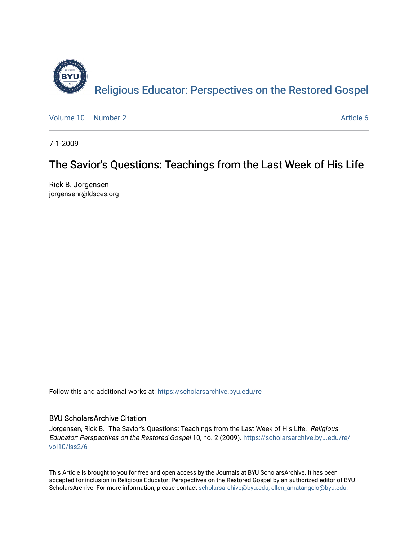

[Volume 10](https://scholarsarchive.byu.edu/re/vol10) [Number 2](https://scholarsarchive.byu.edu/re/vol10/iss2) Article 6

7-1-2009

# The Savior's Questions: Teachings from the Last Week of His Life

Rick B. Jorgensen jorgensenr@ldsces.org

Follow this and additional works at: [https://scholarsarchive.byu.edu/re](https://scholarsarchive.byu.edu/re?utm_source=scholarsarchive.byu.edu%2Fre%2Fvol10%2Fiss2%2F6&utm_medium=PDF&utm_campaign=PDFCoverPages)

## BYU ScholarsArchive Citation

Jorgensen, Rick B. "The Savior's Questions: Teachings from the Last Week of His Life." Religious Educator: Perspectives on the Restored Gospel 10, no. 2 (2009). [https://scholarsarchive.byu.edu/re/](https://scholarsarchive.byu.edu/re/vol10/iss2/6?utm_source=scholarsarchive.byu.edu%2Fre%2Fvol10%2Fiss2%2F6&utm_medium=PDF&utm_campaign=PDFCoverPages) [vol10/iss2/6](https://scholarsarchive.byu.edu/re/vol10/iss2/6?utm_source=scholarsarchive.byu.edu%2Fre%2Fvol10%2Fiss2%2F6&utm_medium=PDF&utm_campaign=PDFCoverPages)

This Article is brought to you for free and open access by the Journals at BYU ScholarsArchive. It has been accepted for inclusion in Religious Educator: Perspectives on the Restored Gospel by an authorized editor of BYU ScholarsArchive. For more information, please contact [scholarsarchive@byu.edu, ellen\\_amatangelo@byu.edu.](mailto:scholarsarchive@byu.edu,%20ellen_amatangelo@byu.edu)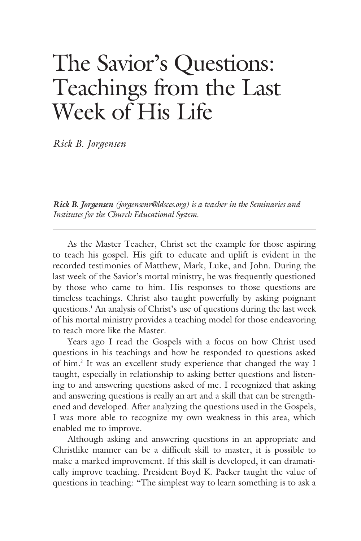# The Savior's Questions: Teachings from the Last Week of His Life

*Rick B. Jorgensen*

*Rick B. Jorgensen (jorgensenr@ldsces.org) is a teacher in the Seminaries and Institutes for the Church Educational System.*

As the Master Teacher, Christ set the example for those aspiring to teach his gospel. His gift to educate and uplift is evident in the recorded testimonies of Matthew, Mark, Luke, and John. During the last week of the Savior's mortal ministry, he was frequently questioned by those who came to him. His responses to those questions are timeless teachings. Christ also taught powerfully by asking poignant questions.1 An analysis of Christ's use of questions during the last week of his mortal ministry provides a teaching model for those endeavoring to teach more like the Master.

Years ago I read the Gospels with a focus on how Christ used questions in his teachings and how he responded to questions asked of him.<sup>2</sup> It was an excellent study experience that changed the way I taught, especially in relationship to asking better questions and listening to and answering questions asked of me. I recognized that asking and answering questions is really an art and a skill that can be strengthened and developed. After analyzing the questions used in the Gospels, I was more able to recognize my own weakness in this area, which enabled me to improve.

Although asking and answering questions in an appropriate and Christlike manner can be a difficult skill to master, it is possible to make a marked improvement. If this skill is developed, it can dramatically improve teaching. President Boyd K. Packer taught the value of questions in teaching: "The simplest way to learn something is to ask a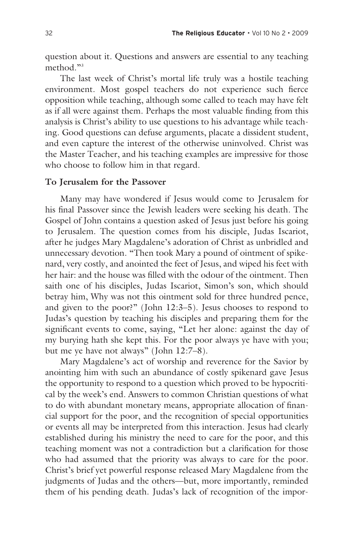question about it. Questions and answers are essential to any teaching method<sup>33</sup>

The last week of Christ's mortal life truly was a hostile teaching environment. Most gospel teachers do not experience such fierce opposition while teaching, although some called to teach may have felt as if all were against them. Perhaps the most valuable finding from this analysis is Christ's ability to use questions to his advantage while teaching. Good questions can defuse arguments, placate a dissident student, and even capture the interest of the otherwise uninvolved. Christ was the Master Teacher, and his teaching examples are impressive for those who choose to follow him in that regard.

#### **To Jerusalem for the Passover**

Many may have wondered if Jesus would come to Jerusalem for his final Passover since the Jewish leaders were seeking his death. The Gospel of John contains a question asked of Jesus just before his going to Jerusalem. The question comes from his disciple, Judas Iscariot, after he judges Mary Magdalene's adoration of Christ as unbridled and unnecessary devotion. "Then took Mary a pound of ointment of spikenard, very costly, and anointed the feet of Jesus, and wiped his feet with her hair: and the house was filled with the odour of the ointment. Then saith one of his disciples, Judas Iscariot, Simon's son, which should betray him, Why was not this ointment sold for three hundred pence, and given to the poor?" (John 12:3–5). Jesus chooses to respond to Judas's question by teaching his disciples and preparing them for the significant events to come, saying, "Let her alone: against the day of my burying hath she kept this. For the poor always ye have with you; but me ye have not always" (John 12:7–8).

Mary Magdalene's act of worship and reverence for the Savior by anointing him with such an abundance of costly spikenard gave Jesus the opportunity to respond to a question which proved to be hypocritical by the week's end. Answers to common Christian questions of what to do with abundant monetary means, appropriate allocation of financial support for the poor, and the recognition of special opportunities or events all may be interpreted from this interaction. Jesus had clearly established during his ministry the need to care for the poor, and this teaching moment was not a contradiction but a clarification for those who had assumed that the priority was always to care for the poor. Christ's brief yet powerful response released Mary Magdalene from the judgments of Judas and the others—but, more importantly, reminded them of his pending death. Judas's lack of recognition of the impor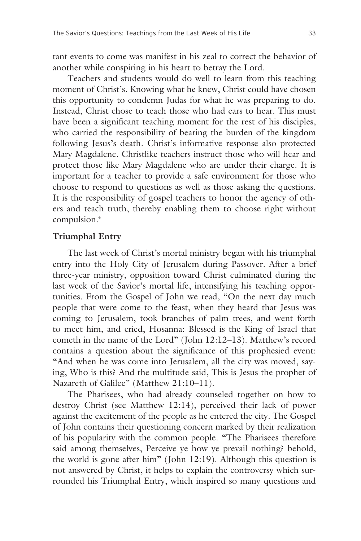tant events to come was manifest in his zeal to correct the behavior of another while conspiring in his heart to betray the Lord.

Teachers and students would do well to learn from this teaching moment of Christ's. Knowing what he knew, Christ could have chosen this opportunity to condemn Judas for what he was preparing to do. Instead, Christ chose to teach those who had ears to hear. This must have been a significant teaching moment for the rest of his disciples, who carried the responsibility of bearing the burden of the kingdom following Jesus's death. Christ's informative response also protected Mary Magdalene. Christlike teachers instruct those who will hear and protect those like Mary Magdalene who are under their charge. It is important for a teacher to provide a safe environment for those who choose to respond to questions as well as those asking the questions. It is the responsibility of gospel teachers to honor the agency of others and teach truth, thereby enabling them to choose right without compulsion.<sup>4</sup>

#### **Triumphal Entry**

The last week of Christ's mortal ministry began with his triumphal entry into the Holy City of Jerusalem during Passover. After a brief three-year ministry, opposition toward Christ culminated during the last week of the Savior's mortal life, intensifying his teaching opportunities. From the Gospel of John we read, "On the next day much people that were come to the feast, when they heard that Jesus was coming to Jerusalem, took branches of palm trees, and went forth to meet him, and cried, Hosanna: Blessed is the King of Israel that cometh in the name of the Lord" (John 12:12–13). Matthew's record contains a question about the significance of this prophesied event: "And when he was come into Jerusalem, all the city was moved, saying, Who is this? And the multitude said, This is Jesus the prophet of Nazareth of Galilee" (Matthew 21:10–11).

The Pharisees, who had already counseled together on how to destroy Christ (see Matthew 12:14), perceived their lack of power against the excitement of the people as he entered the city. The Gospel of John contains their questioning concern marked by their realization of his popularity with the common people. "The Pharisees therefore said among themselves, Perceive ye how ye prevail nothing? behold, the world is gone after him" (John 12:19). Although this question is not answered by Christ, it helps to explain the controversy which surrounded his Triumphal Entry, which inspired so many questions and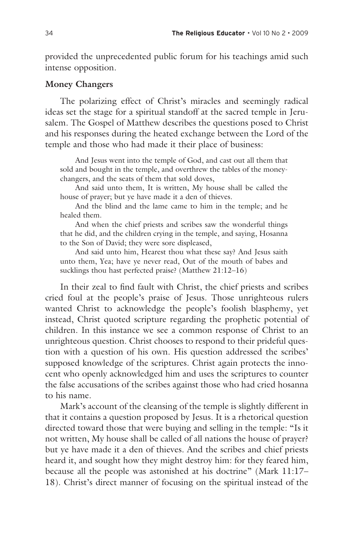provided the unprecedented public forum for his teachings amid such intense opposition.

### **Money Changers**

The polarizing effect of Christ's miracles and seemingly radical ideas set the stage for a spiritual standoff at the sacred temple in Jerusalem. The Gospel of Matthew describes the questions posed to Christ and his responses during the heated exchange between the Lord of the temple and those who had made it their place of business:

And Jesus went into the temple of God, and cast out all them that sold and bought in the temple, and overthrew the tables of the moneychangers, and the seats of them that sold doves,

And said unto them, It is written, My house shall be called the house of prayer; but ye have made it a den of thieves.

And the blind and the lame came to him in the temple; and he healed them.

And when the chief priests and scribes saw the wonderful things that he did, and the children crying in the temple, and saying, Hosanna to the Son of David; they were sore displeased,

And said unto him, Hearest thou what these say? And Jesus saith unto them, Yea; have ye never read, Out of the mouth of babes and sucklings thou hast perfected praise? (Matthew 21:12–16)

In their zeal to find fault with Christ, the chief priests and scribes cried foul at the people's praise of Jesus. Those unrighteous rulers wanted Christ to acknowledge the people's foolish blasphemy, yet instead, Christ quoted scripture regarding the prophetic potential of children. In this instance we see a common response of Christ to an unrighteous question. Christ chooses to respond to their prideful question with a question of his own. His question addressed the scribes' supposed knowledge of the scriptures. Christ again protects the innocent who openly acknowledged him and uses the scriptures to counter the false accusations of the scribes against those who had cried hosanna to his name.

Mark's account of the cleansing of the temple is slightly different in that it contains a question proposed by Jesus. It is a rhetorical question directed toward those that were buying and selling in the temple: "Is it not written, My house shall be called of all nations the house of prayer? but ye have made it a den of thieves. And the scribes and chief priests heard it, and sought how they might destroy him: for they feared him, because all the people was astonished at his doctrine" (Mark 11:17– 18). Christ's direct manner of focusing on the spiritual instead of the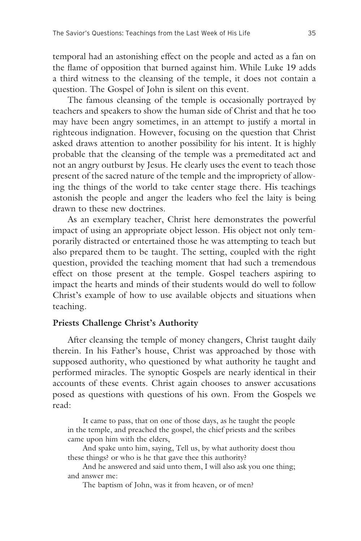temporal had an astonishing effect on the people and acted as a fan on the flame of opposition that burned against him. While Luke 19 adds a third witness to the cleansing of the temple, it does not contain a question. The Gospel of John is silent on this event.

The famous cleansing of the temple is occasionally portrayed by teachers and speakers to show the human side of Christ and that he too may have been angry sometimes, in an attempt to justify a mortal in righteous indignation. However, focusing on the question that Christ asked draws attention to another possibility for his intent. It is highly probable that the cleansing of the temple was a premeditated act and not an angry outburst by Jesus. He clearly uses the event to teach those present of the sacred nature of the temple and the impropriety of allowing the things of the world to take center stage there. His teachings astonish the people and anger the leaders who feel the laity is being drawn to these new doctrines.

As an exemplary teacher, Christ here demonstrates the powerful impact of using an appropriate object lesson. His object not only temporarily distracted or entertained those he was attempting to teach but also prepared them to be taught. The setting, coupled with the right question, provided the teaching moment that had such a tremendous effect on those present at the temple. Gospel teachers aspiring to impact the hearts and minds of their students would do well to follow Christ's example of how to use available objects and situations when teaching.

#### **Priests Challenge Christ's Authority**

After cleansing the temple of money changers, Christ taught daily therein. In his Father's house, Christ was approached by those with supposed authority, who questioned by what authority he taught and performed miracles. The synoptic Gospels are nearly identical in their accounts of these events. Christ again chooses to answer accusations posed as questions with questions of his own. From the Gospels we read:

It came to pass, that on one of those days, as he taught the people in the temple, and preached the gospel, the chief priests and the scribes came upon him with the elders,

And spake unto him, saying, Tell us, by what authority doest thou these things? or who is he that gave thee this authority?

And he answered and said unto them, I will also ask you one thing; and answer me:

The baptism of John, was it from heaven, or of men?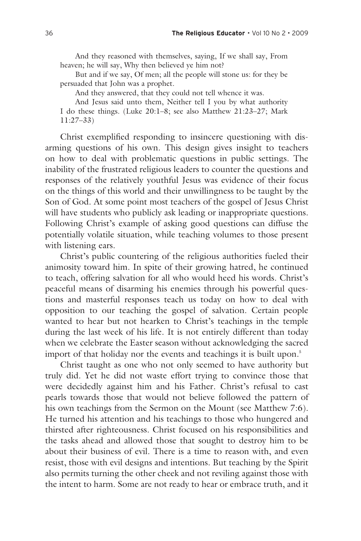And they reasoned with themselves, saying, If we shall say, From heaven; he will say, Why then believed ye him not?

But and if we say, Of men; all the people will stone us: for they be persuaded that John was a prophet.

And they answered, that they could not tell whence it was.

And Jesus said unto them, Neither tell I you by what authority I do these things. (Luke 20:1–8; see also Matthew 21:23–27; Mark 11:27–33)

Christ exemplified responding to insincere questioning with disarming questions of his own. This design gives insight to teachers on how to deal with problematic questions in public settings. The inability of the frustrated religious leaders to counter the questions and responses of the relatively youthful Jesus was evidence of their focus on the things of this world and their unwillingness to be taught by the Son of God. At some point most teachers of the gospel of Jesus Christ will have students who publicly ask leading or inappropriate questions. Following Christ's example of asking good questions can diffuse the potentially volatile situation, while teaching volumes to those present with listening ears.

Christ's public countering of the religious authorities fueled their animosity toward him. In spite of their growing hatred, he continued to teach, offering salvation for all who would heed his words. Christ's peaceful means of disarming his enemies through his powerful questions and masterful responses teach us today on how to deal with opposition to our teaching the gospel of salvation. Certain people wanted to hear but not hearken to Christ's teachings in the temple during the last week of his life. It is not entirely different than today when we celebrate the Easter season without acknowledging the sacred import of that holiday nor the events and teachings it is built upon.<sup>5</sup>

Christ taught as one who not only seemed to have authority but truly did. Yet he did not waste effort trying to convince those that were decidedly against him and his Father. Christ's refusal to cast pearls towards those that would not believe followed the pattern of his own teachings from the Sermon on the Mount (see Matthew 7:6). He turned his attention and his teachings to those who hungered and thirsted after righteousness. Christ focused on his responsibilities and the tasks ahead and allowed those that sought to destroy him to be about their business of evil. There is a time to reason with, and even resist, those with evil designs and intentions. But teaching by the Spirit also permits turning the other cheek and not reviling against those with the intent to harm. Some are not ready to hear or embrace truth, and it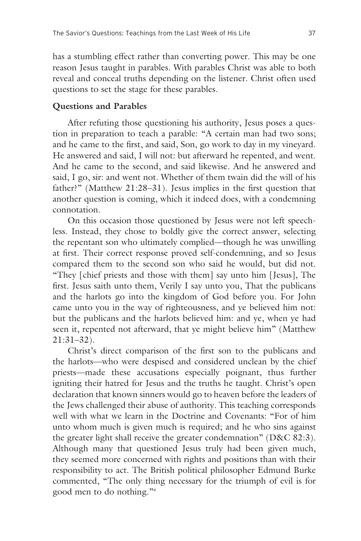has a stumbling effect rather than converting power. This may be one reason Jesus taught in parables. With parables Christ was able to both reveal and conceal truths depending on the listener. Christ often used questions to set the stage for these parables.

#### **Questions and Parables**

After refuting those questioning his authority, Jesus poses a question in preparation to teach a parable: "A certain man had two sons; and he came to the first, and said, Son, go work to day in my vineyard. He answered and said, I will not: but afterward he repented, and went. And he came to the second, and said likewise. And he answered and said, I go, sir: and went not. Whether of them twain did the will of his father?" (Matthew 21:28–31). Jesus implies in the first question that another question is coming, which it indeed does, with a condemning connotation.

On this occasion those questioned by Jesus were not left speechless. Instead, they chose to boldly give the correct answer, selecting the repentant son who ultimately complied—though he was unwilling at first. Their correct response proved self-condemning, and so Jesus compared them to the second son who said he would, but did not. "They [chief priests and those with them] say unto him [Jesus], The first. Jesus saith unto them, Verily I say unto you, That the publicans and the harlots go into the kingdom of God before you. For John came unto you in the way of righteousness, and ye believed him not: but the publicans and the harlots believed him: and ye, when ye had seen it, repented not afterward, that ye might believe him" (Matthew 21:31–32).

Christ's direct comparison of the first son to the publicans and the harlots—who were despised and considered unclean by the chief priests—made these accusations especially poignant, thus further igniting their hatred for Jesus and the truths he taught. Christ's open declaration that known sinners would go to heaven before the leaders of the Jews challenged their abuse of authority. This teaching corresponds well with what we learn in the Doctrine and Covenants: "For of him unto whom much is given much is required; and he who sins against the greater light shall receive the greater condemnation" (D&C 82:3). Although many that questioned Jesus truly had been given much, they seemed more concerned with rights and positions than with their responsibility to act. The British political philosopher Edmund Burke commented, "The only thing necessary for the triumph of evil is for good men to do nothing."6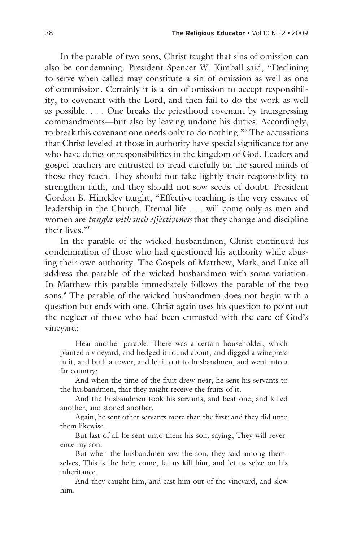In the parable of two sons, Christ taught that sins of omission can also be condemning. President Spencer W. Kimball said, "Declining to serve when called may constitute a sin of omission as well as one of commission. Certainly it is a sin of omission to accept responsibility, to covenant with the Lord, and then fail to do the work as well as possible. . . . One breaks the priesthood covenant by transgressing commandments—but also by leaving undone his duties. Accordingly, to break this covenant one needs only to do nothing."7 The accusations that Christ leveled at those in authority have special significance for any who have duties or responsibilities in the kingdom of God. Leaders and gospel teachers are entrusted to tread carefully on the sacred minds of those they teach. They should not take lightly their responsibility to strengthen faith, and they should not sow seeds of doubt. President Gordon B. Hinckley taught, "Effective teaching is the very essence of leadership in the Church. Eternal life . . . will come only as men and women are *taught with such effectiveness* that they change and discipline their lives<sup>"8</sup>

In the parable of the wicked husbandmen, Christ continued his condemnation of those who had questioned his authority while abusing their own authority. The Gospels of Matthew, Mark, and Luke all address the parable of the wicked husbandmen with some variation. In Matthew this parable immediately follows the parable of the two sons.<sup>9</sup> The parable of the wicked husbandmen does not begin with a question but ends with one. Christ again uses his question to point out the neglect of those who had been entrusted with the care of God's vineyard:

Hear another parable: There was a certain householder, which planted a vineyard, and hedged it round about, and digged a winepress in it, and built a tower, and let it out to husbandmen, and went into a far country:

And when the time of the fruit drew near, he sent his servants to the husbandmen, that they might receive the fruits of it.

And the husbandmen took his servants, and beat one, and killed another, and stoned another.

Again, he sent other servants more than the first: and they did unto them likewise.

But last of all he sent unto them his son, saying, They will reverence my son.

But when the husbandmen saw the son, they said among themselves, This is the heir; come, let us kill him, and let us seize on his inheritance.

And they caught him, and cast him out of the vineyard, and slew him.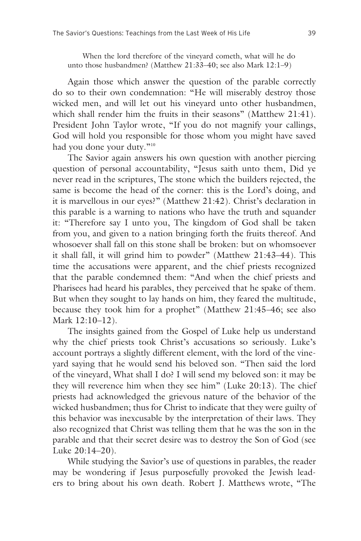When the lord therefore of the vineyard cometh, what will he do unto those husbandmen? (Matthew 21:33–40; see also Mark 12:1–9)

Again those which answer the question of the parable correctly do so to their own condemnation: "He will miserably destroy those wicked men, and will let out his vineyard unto other husbandmen, which shall render him the fruits in their seasons" (Matthew 21:41). President John Taylor wrote, "If you do not magnify your callings, God will hold you responsible for those whom you might have saved had you done your duty."<sup>10</sup>

The Savior again answers his own question with another piercing question of personal accountability, "Jesus saith unto them, Did ye never read in the scriptures, The stone which the builders rejected, the same is become the head of the corner: this is the Lord's doing, and it is marvellous in our eyes?" (Matthew 21:42). Christ's declaration in this parable is a warning to nations who have the truth and squander it: "Therefore say I unto you, The kingdom of God shall be taken from you, and given to a nation bringing forth the fruits thereof. And whosoever shall fall on this stone shall be broken: but on whomsoever it shall fall, it will grind him to powder" (Matthew 21:43–44). This time the accusations were apparent, and the chief priests recognized that the parable condemned them: "And when the chief priests and Pharisees had heard his parables, they perceived that he spake of them. But when they sought to lay hands on him, they feared the multitude, because they took him for a prophet" (Matthew 21:45–46; see also Mark 12:10–12).

The insights gained from the Gospel of Luke help us understand why the chief priests took Christ's accusations so seriously. Luke's account portrays a slightly different element, with the lord of the vineyard saying that he would send his beloved son. "Then said the lord of the vineyard, What shall I do? I will send my beloved son: it may be they will reverence him when they see him" (Luke 20:13). The chief priests had acknowledged the grievous nature of the behavior of the wicked husbandmen; thus for Christ to indicate that they were guilty of this behavior was inexcusable by the interpretation of their laws. They also recognized that Christ was telling them that he was the son in the parable and that their secret desire was to destroy the Son of God (see Luke 20:14–20).

While studying the Savior's use of questions in parables, the reader may be wondering if Jesus purposefully provoked the Jewish leaders to bring about his own death. Robert J. Matthews wrote, "The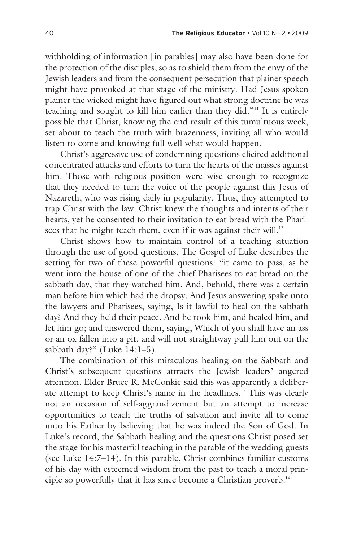withholding of information [in parables] may also have been done for the protection of the disciples, so as to shield them from the envy of the Jewish leaders and from the consequent persecution that plainer speech might have provoked at that stage of the ministry. Had Jesus spoken plainer the wicked might have figured out what strong doctrine he was teaching and sought to kill him earlier than they did."11 It is entirely possible that Christ, knowing the end result of this tumultuous week, set about to teach the truth with brazenness, inviting all who would listen to come and knowing full well what would happen.

Christ's aggressive use of condemning questions elicited additional concentrated attacks and efforts to turn the hearts of the masses against him. Those with religious position were wise enough to recognize that they needed to turn the voice of the people against this Jesus of Nazareth, who was rising daily in popularity. Thus, they attempted to trap Christ with the law. Christ knew the thoughts and intents of their hearts, yet he consented to their invitation to eat bread with the Pharisees that he might teach them, even if it was against their will.<sup>12</sup>

Christ shows how to maintain control of a teaching situation through the use of good questions. The Gospel of Luke describes the setting for two of these powerful questions: "it came to pass, as he went into the house of one of the chief Pharisees to eat bread on the sabbath day, that they watched him. And, behold, there was a certain man before him which had the dropsy. And Jesus answering spake unto the lawyers and Pharisees, saying, Is it lawful to heal on the sabbath day? And they held their peace. And he took him, and healed him, and let him go; and answered them, saying, Which of you shall have an ass or an ox fallen into a pit, and will not straightway pull him out on the sabbath day?" (Luke 14:1-5).

The combination of this miraculous healing on the Sabbath and Christ's subsequent questions attracts the Jewish leaders' angered attention. Elder Bruce R. McConkie said this was apparently a deliberate attempt to keep Christ's name in the headlines.<sup>13</sup> This was clearly not an occasion of self-aggrandizement but an attempt to increase opportunities to teach the truths of salvation and invite all to come unto his Father by believing that he was indeed the Son of God. In Luke's record, the Sabbath healing and the questions Christ posed set the stage for his masterful teaching in the parable of the wedding guests (see Luke 14:7–14). In this parable, Christ combines familiar customs of his day with esteemed wisdom from the past to teach a moral principle so powerfully that it has since become a Christian proverb.<sup>14</sup>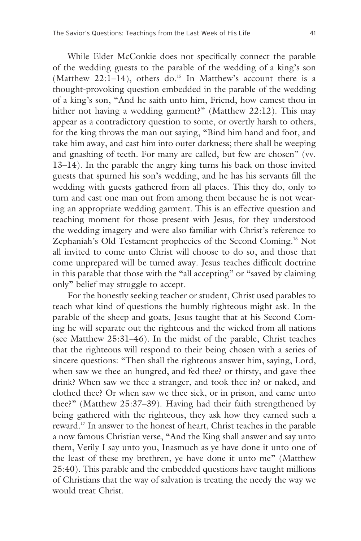While Elder McConkie does not specifically connect the parable of the wedding guests to the parable of the wedding of a king's son (Matthew 22:1-14), others do.<sup>15</sup> In Matthew's account there is a thought-provoking question embedded in the parable of the wedding of a king's son, "And he saith unto him, Friend, how camest thou in hither not having a wedding garment?" (Matthew 22:12). This may appear as a contradictory question to some, or overtly harsh to others, for the king throws the man out saying, "Bind him hand and foot, and take him away, and cast him into outer darkness; there shall be weeping and gnashing of teeth. For many are called, but few are chosen" (vv. 13–14). In the parable the angry king turns his back on those invited guests that spurned his son's wedding, and he has his servants fill the wedding with guests gathered from all places. This they do, only to turn and cast one man out from among them because he is not wearing an appropriate wedding garment. This is an effective question and teaching moment for those present with Jesus, for they understood the wedding imagery and were also familiar with Christ's reference to Zephaniah's Old Testament prophecies of the Second Coming.16 Not all invited to come unto Christ will choose to do so, and those that come unprepared will be turned away. Jesus teaches difficult doctrine in this parable that those with the "all accepting" or "saved by claiming only" belief may struggle to accept.

For the honestly seeking teacher or student, Christ used parables to teach what kind of questions the humbly righteous might ask. In the parable of the sheep and goats, Jesus taught that at his Second Coming he will separate out the righteous and the wicked from all nations (see Matthew 25:31–46). In the midst of the parable, Christ teaches that the righteous will respond to their being chosen with a series of sincere questions: "Then shall the righteous answer him, saying, Lord, when saw we thee an hungred, and fed thee? or thirsty, and gave thee drink? When saw we thee a stranger, and took thee in? or naked, and clothed thee? Or when saw we thee sick, or in prison, and came unto thee?" (Matthew 25:37–39). Having had their faith strengthened by being gathered with the righteous, they ask how they earned such a reward.17 In answer to the honest of heart, Christ teaches in the parable a now famous Christian verse, "And the King shall answer and say unto them, Verily I say unto you, Inasmuch as ye have done it unto one of the least of these my brethren, ye have done it unto me" (Matthew 25:40). This parable and the embedded questions have taught millions of Christians that the way of salvation is treating the needy the way we would treat Christ.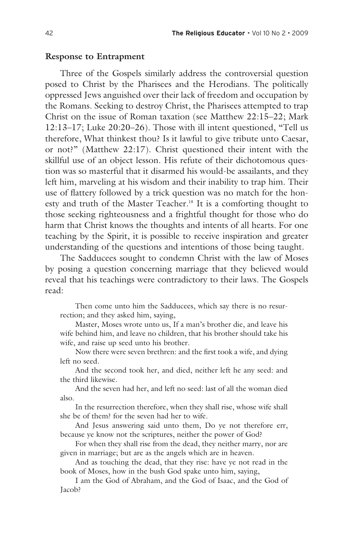#### **Response to Entrapment**

Three of the Gospels similarly address the controversial question posed to Christ by the Pharisees and the Herodians. The politically oppressed Jews anguished over their lack of freedom and occupation by the Romans. Seeking to destroy Christ, the Pharisees attempted to trap Christ on the issue of Roman taxation (see Matthew 22:15–22; Mark 12:13–17; Luke 20:20–26). Those with ill intent questioned, "Tell us therefore, What thinkest thou? Is it lawful to give tribute unto Caesar, or not?" (Matthew 22:17). Christ questioned their intent with the skillful use of an object lesson. His refute of their dichotomous question was so masterful that it disarmed his would-be assailants, and they left him, marveling at his wisdom and their inability to trap him. Their use of flattery followed by a trick question was no match for the honesty and truth of the Master Teacher.<sup>18</sup> It is a comforting thought to those seeking righteousness and a frightful thought for those who do harm that Christ knows the thoughts and intents of all hearts. For one teaching by the Spirit, it is possible to receive inspiration and greater understanding of the questions and intentions of those being taught.

The Sadducees sought to condemn Christ with the law of Moses by posing a question concerning marriage that they believed would reveal that his teachings were contradictory to their laws. The Gospels read:

Then come unto him the Sadducees, which say there is no resurrection; and they asked him, saying,

Master, Moses wrote unto us, If a man's brother die, and leave his wife behind him, and leave no children, that his brother should take his wife, and raise up seed unto his brother.

Now there were seven brethren: and the first took a wife, and dying left no seed.

And the second took her, and died, neither left he any seed: and the third likewise.

And the seven had her, and left no seed: last of all the woman died also.

In the resurrection therefore, when they shall rise, whose wife shall she be of them? for the seven had her to wife.

And Jesus answering said unto them, Do ye not therefore err, because ye know not the scriptures, neither the power of God?

For when they shall rise from the dead, they neither marry, nor are given in marriage; but are as the angels which are in heaven.

And as touching the dead, that they rise: have ye not read in the book of Moses, how in the bush God spake unto him, saying,

I am the God of Abraham, and the God of Isaac, and the God of Jacob?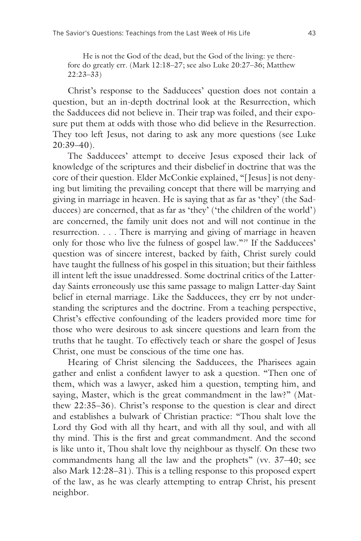He is not the God of the dead, but the God of the living: ye therefore do greatly err. (Mark 12:18–27; see also Luke 20:27–36; Matthew 22:23–33)

Christ's response to the Sadducees' question does not contain a question, but an in-depth doctrinal look at the Resurrection, which the Sadducees did not believe in. Their trap was foiled, and their exposure put them at odds with those who did believe in the Resurrection. They too left Jesus, not daring to ask any more questions (see Luke 20:39–40).

The Sadducees' attempt to deceive Jesus exposed their lack of knowledge of the scriptures and their disbelief in doctrine that was the core of their question. Elder McConkie explained, "[Jesus] is not denying but limiting the prevailing concept that there will be marrying and giving in marriage in heaven. He is saying that as far as 'they' (the Sadducees) are concerned, that as far as 'they' ('the children of the world') are concerned, the family unit does not and will not continue in the resurrection. . . . There is marrying and giving of marriage in heaven only for those who live the fulness of gospel law."19 If the Sadducees' question was of sincere interest, backed by faith, Christ surely could have taught the fullness of his gospel in this situation; but their faithless ill intent left the issue unaddressed. Some doctrinal critics of the Latterday Saints erroneously use this same passage to malign Latter-day Saint belief in eternal marriage. Like the Sadducees, they err by not understanding the scriptures and the doctrine. From a teaching perspective, Christ's effective confounding of the leaders provided more time for those who were desirous to ask sincere questions and learn from the truths that he taught. To effectively teach or share the gospel of Jesus Christ, one must be conscious of the time one has.

Hearing of Christ silencing the Sadducees, the Pharisees again gather and enlist a confident lawyer to ask a question. "Then one of them, which was a lawyer, asked him a question, tempting him, and saying, Master, which is the great commandment in the law?" (Matthew 22:35–36). Christ's response to the question is clear and direct and establishes a bulwark of Christian practice: "Thou shalt love the Lord thy God with all thy heart, and with all thy soul, and with all thy mind. This is the first and great commandment. And the second is like unto it, Thou shalt love thy neighbour as thyself. On these two commandments hang all the law and the prophets" (vv. 37-40; see also Mark 12:28–31). This is a telling response to this proposed expert of the law, as he was clearly attempting to entrap Christ, his present neighbor.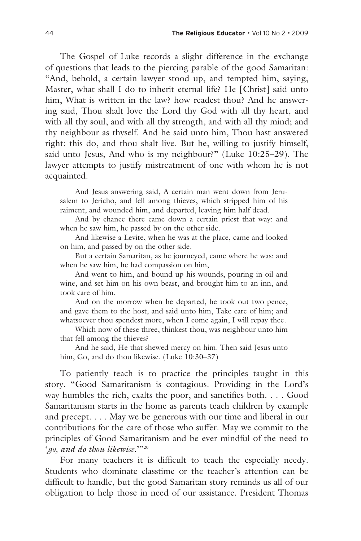The Gospel of Luke records a slight difference in the exchange of questions that leads to the piercing parable of the good Samaritan: "And, behold, a certain lawyer stood up, and tempted him, saying, Master, what shall I do to inherit eternal life? He [Christ] said unto him, What is written in the law? how readest thou? And he answering said, Thou shalt love the Lord thy God with all thy heart, and with all thy soul, and with all thy strength, and with all thy mind; and thy neighbour as thyself. And he said unto him, Thou hast answered right: this do, and thou shalt live. But he, willing to justify himself, said unto Jesus, And who is my neighbour?" (Luke 10:25–29). The lawyer attempts to justify mistreatment of one with whom he is not acquainted.

And Jesus answering said, A certain man went down from Jerusalem to Jericho, and fell among thieves, which stripped him of his raiment, and wounded him, and departed, leaving him half dead.

And by chance there came down a certain priest that way: and when he saw him, he passed by on the other side.

And likewise a Levite, when he was at the place, came and looked on him, and passed by on the other side.

But a certain Samaritan, as he journeyed, came where he was: and when he saw him, he had compassion on him,

And went to him, and bound up his wounds, pouring in oil and wine, and set him on his own beast, and brought him to an inn, and took care of him.

And on the morrow when he departed, he took out two pence, and gave them to the host, and said unto him, Take care of him; and whatsoever thou spendest more, when I come again, I will repay thee.

Which now of these three, thinkest thou, was neighbour unto him that fell among the thieves?

And he said, He that shewed mercy on him. Then said Jesus unto him, Go, and do thou likewise. (Luke 10:30-37)

To patiently teach is to practice the principles taught in this story. "Good Samaritanism is contagious. Providing in the Lord's way humbles the rich, exalts the poor, and sanctifies both. . . . Good Samaritanism starts in the home as parents teach children by example and precept. . . . May we be generous with our time and liberal in our contributions for the care of those who suffer. May we commit to the principles of Good Samaritanism and be ever mindful of the need to '*go, and do thou likewise*.'"20

For many teachers it is difficult to teach the especially needy. Students who dominate classtime or the teacher's attention can be difficult to handle, but the good Samaritan story reminds us all of our obligation to help those in need of our assistance. President Thomas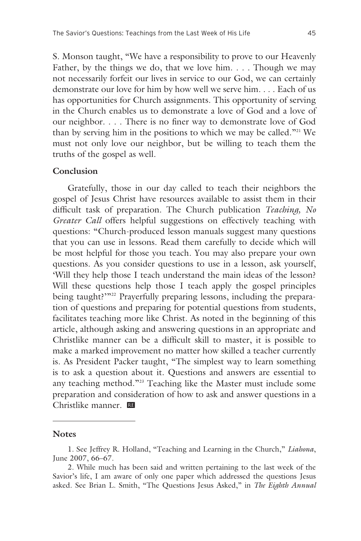S. Monson taught, "We have a responsibility to prove to our Heavenly Father, by the things we do, that we love him. . . . Though we may not necessarily forfeit our lives in service to our God, we can certainly demonstrate our love for him by how well we serve him. . . . Each of us has opportunities for Church assignments. This opportunity of serving in the Church enables us to demonstrate a love of God and a love of our neighbor. . . . There is no finer way to demonstrate love of God than by serving him in the positions to which we may be called."21 We must not only love our neighbor, but be willing to teach them the truths of the gospel as well.

#### **Conclusion**

Gratefully, those in our day called to teach their neighbors the gospel of Jesus Christ have resources available to assist them in their difficult task of preparation. The Church publication *Teaching, No Greater Call* offers helpful suggestions on effectively teaching with questions: "Church-produced lesson manuals suggest many questions that you can use in lessons. Read them carefully to decide which will be most helpful for those you teach. You may also prepare your own questions. As you consider questions to use in a lesson, ask yourself, 'Will they help those I teach understand the main ideas of the lesson? Will these questions help those I teach apply the gospel principles being taught?"<sup>22</sup> Prayerfully preparing lessons, including the preparation of questions and preparing for potential questions from students, facilitates teaching more like Christ. As noted in the beginning of this article, although asking and answering questions in an appropriate and Christlike manner can be a difficult skill to master, it is possible to make a marked improvement no matter how skilled a teacher currently is. As President Packer taught, "The simplest way to learn something is to ask a question about it. Questions and answers are essential to any teaching method."23 Teaching like the Master must include some preparation and consideration of how to ask and answer questions in a Christlike manner. œ

#### **Notes**

<sup>1.</sup> See Jeffrey R. Holland, "Teaching and Learning in the Church," *Liahona*, June 2007, 66–67.

<sup>2.</sup> While much has been said and written pertaining to the last week of the Savior's life, I am aware of only one paper which addressed the questions Jesus asked. See Brian L. Smith, "The Questions Jesus Asked," in *The Eighth Annual*